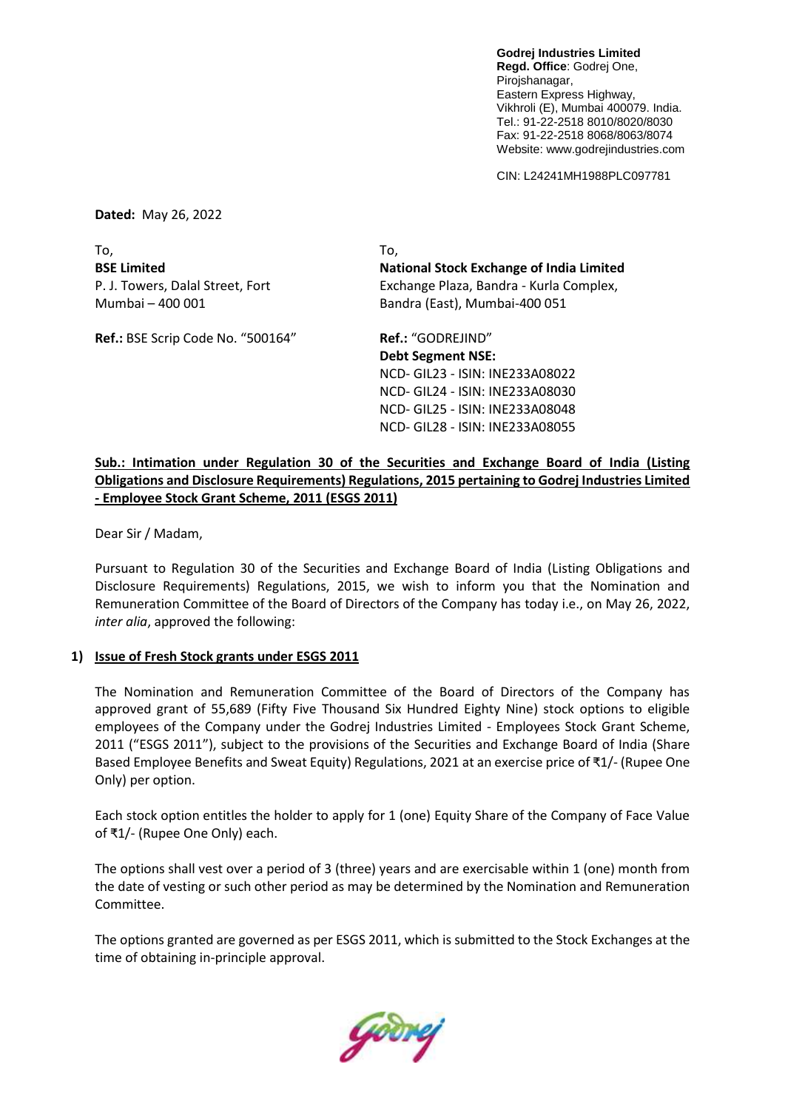**Godrej Industries Limited Regd. Office**: Godrej One, Pirojshanagar, Eastern Express Highway, Vikhroli (E), Mumbai 400079. India. Tel.: 91-22-2518 8010/8020/8030 Fax: 91-22-2518 8068/8063/8074 Website: www.godrejindustries.com

CIN: L24241MH1988PLC097781

**Dated:** May 26, 2022

To, To, **BSE Limited National Stock Exchange of India Limited** P. J. Towers, Dalal Street, Fort Exchange Plaza, Bandra - Kurla Complex, Mumbai – 400 001 Bandra (East), Mumbai-400 051

**Ref.:** BSE Scrip Code No. "500164" **Ref.:** "GODREJIND"

**Debt Segment NSE:** NCD- GIL23 - ISIN: INE233A08022 NCD- GIL24 - ISIN: INE233A08030 NCD- GIL25 - ISIN: INE233A08048

NCD- GIL28 - ISIN: INE233A08055

**Sub.: Intimation under Regulation 30 of the Securities and Exchange Board of India (Listing Obligations and Disclosure Requirements) Regulations, 2015 pertaining to Godrej Industries Limited - Employee Stock Grant Scheme, 2011 (ESGS 2011)**

Dear Sir / Madam,

Pursuant to Regulation 30 of the Securities and Exchange Board of India (Listing Obligations and Disclosure Requirements) Regulations, 2015, we wish to inform you that the Nomination and Remuneration Committee of the Board of Directors of the Company has today i.e., on May 26, 2022, *inter alia*, approved the following:

## **1) Issue of Fresh Stock grants under ESGS 2011**

The Nomination and Remuneration Committee of the Board of Directors of the Company has approved grant of 55,689 (Fifty Five Thousand Six Hundred Eighty Nine) stock options to eligible employees of the Company under the Godrej Industries Limited - Employees Stock Grant Scheme, 2011 ("ESGS 2011"), subject to the provisions of the Securities and Exchange Board of India (Share Based Employee Benefits and Sweat Equity) Regulations, 2021 at an exercise price of ₹1/- (Rupee One Only) per option.

Each stock option entitles the holder to apply for 1 (one) Equity Share of the Company of Face Value of ₹1/- (Rupee One Only) each.

The options shall vest over a period of 3 (three) years and are exercisable within 1 (one) month from the date of vesting or such other period as may be determined by the Nomination and Remuneration Committee.

The options granted are governed as per ESGS 2011, which is submitted to the Stock Exchanges at the time of obtaining in-principle approval.